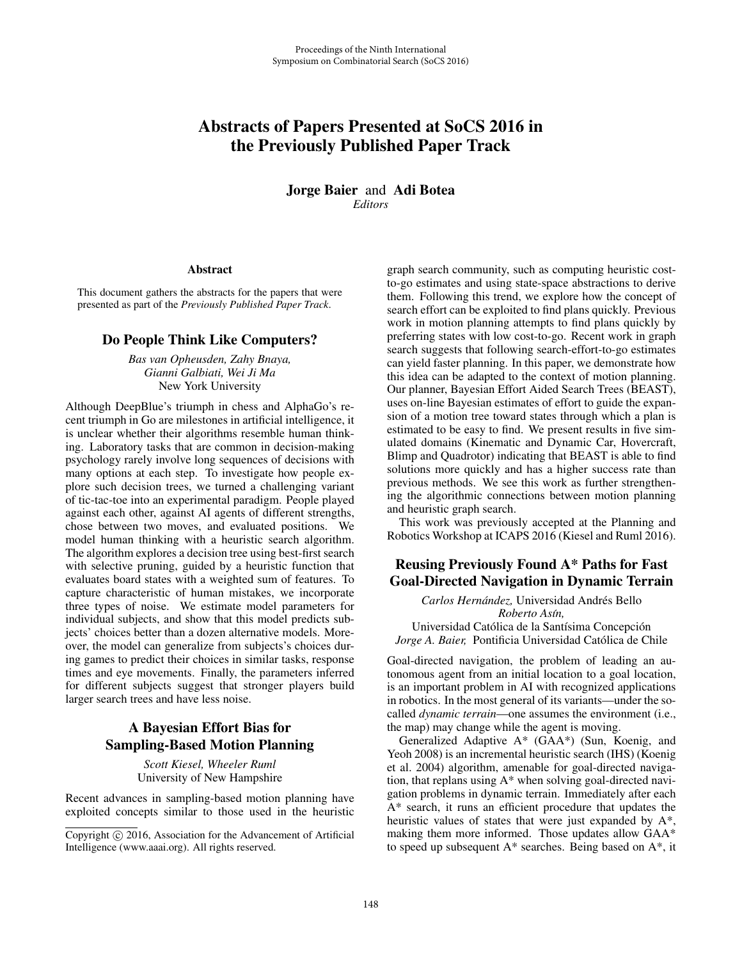# Abstracts of Papers Presented at SoCS 2016 in the Previously Published Paper Track

Jorge Baier and Adi Botea *Editors*

#### Abstract

This document gathers the abstracts for the papers that were presented as part of the *Previously Published Paper Track*.

#### Do People Think Like Computers?

*Bas van Opheusden, Zahy Bnaya, Gianni Galbiati, Wei Ji Ma* New York University

Although DeepBlue's triumph in chess and AlphaGo's recent triumph in Go are milestones in artificial intelligence, it is unclear whether their algorithms resemble human thinking. Laboratory tasks that are common in decision-making psychology rarely involve long sequences of decisions with many options at each step. To investigate how people explore such decision trees, we turned a challenging variant of tic-tac-toe into an experimental paradigm. People played against each other, against AI agents of different strengths, chose between two moves, and evaluated positions. We model human thinking with a heuristic search algorithm. The algorithm explores a decision tree using best-first search with selective pruning, guided by a heuristic function that evaluates board states with a weighted sum of features. To capture characteristic of human mistakes, we incorporate three types of noise. We estimate model parameters for individual subjects, and show that this model predicts subjects' choices better than a dozen alternative models. Moreover, the model can generalize from subjects's choices during games to predict their choices in similar tasks, response times and eye movements. Finally, the parameters inferred for different subjects suggest that stronger players build larger search trees and have less noise.

### A Bayesian Effort Bias for Sampling-Based Motion Planning

*Scott Kiesel, Wheeler Ruml* University of New Hampshire

Recent advances in sampling-based motion planning have exploited concepts similar to those used in the heuristic graph search community, such as computing heuristic costto-go estimates and using state-space abstractions to derive them. Following this trend, we explore how the concept of search effort can be exploited to find plans quickly. Previous work in motion planning attempts to find plans quickly by preferring states with low cost-to-go. Recent work in graph search suggests that following search-effort-to-go estimates can yield faster planning. In this paper, we demonstrate how this idea can be adapted to the context of motion planning. Our planner, Bayesian Effort Aided Search Trees (BEAST), uses on-line Bayesian estimates of effort to guide the expansion of a motion tree toward states through which a plan is estimated to be easy to find. We present results in five simulated domains (Kinematic and Dynamic Car, Hovercraft, Blimp and Quadrotor) indicating that BEAST is able to find solutions more quickly and has a higher success rate than previous methods. We see this work as further strengthening the algorithmic connections between motion planning and heuristic graph search.

This work was previously accepted at the Planning and Robotics Workshop at ICAPS 2016 (Kiesel and Ruml 2016).

### Reusing Previously Found A\* Paths for Fast Goal-Directed Navigation in Dynamic Terrain

*Carlos Hernandez, ´* Universidad Andres Bello ´ *Roberto As´ın,*

Universidad Católica de la Santísima Concepción *Jorge A. Baier,* Pontificia Universidad Catolica de Chile ´

Goal-directed navigation, the problem of leading an autonomous agent from an initial location to a goal location, is an important problem in AI with recognized applications in robotics. In the most general of its variants—under the socalled *dynamic terrain*—one assumes the environment (i.e., the map) may change while the agent is moving.

Generalized Adaptive A\* (GAA\*) (Sun, Koenig, and Yeoh 2008) is an incremental heuristic search (IHS) (Koenig et al. 2004) algorithm, amenable for goal-directed navigation, that replans using A\* when solving goal-directed navigation problems in dynamic terrain. Immediately after each A\* search, it runs an efficient procedure that updates the heuristic values of states that were just expanded by A\*, making them more informed. Those updates allow GAA\* to speed up subsequent A\* searches. Being based on A\*, it

Copyright  $\odot$  2016, Association for the Advancement of Artificial Intelligence (www.aaai.org). All rights reserved.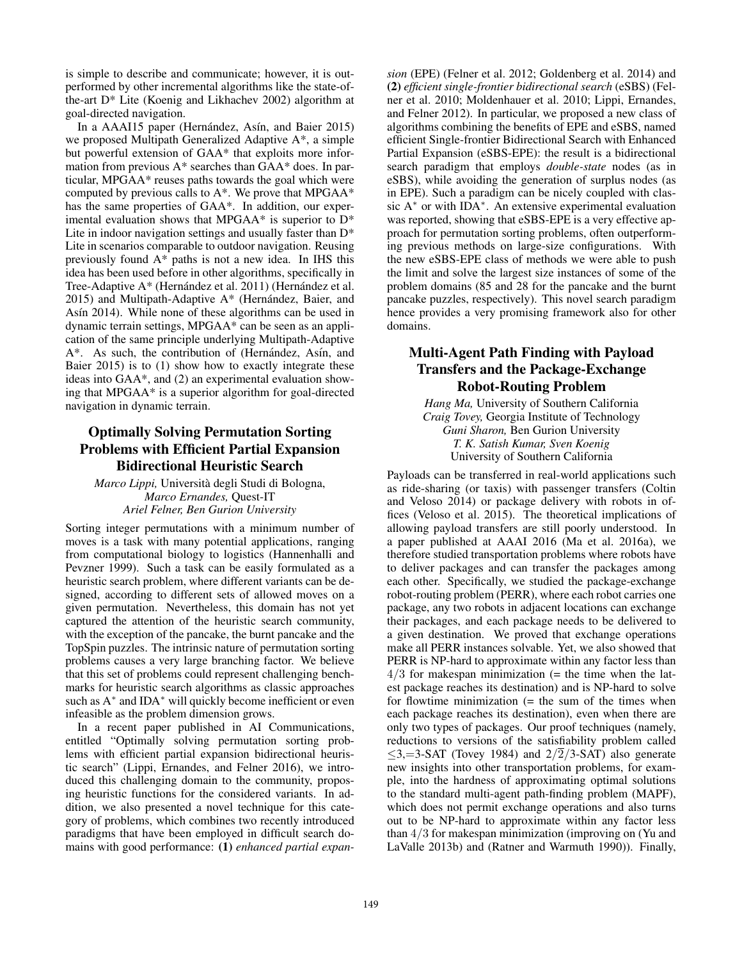is simple to describe and communicate; however, it is outperformed by other incremental algorithms like the state-ofthe-art D\* Lite (Koenig and Likhachev 2002) algorithm at goal-directed navigation.

In a AAAI15 paper (Hernández, Asín, and Baier 2015) we proposed Multipath Generalized Adaptive A\*, a simple but powerful extension of GAA\* that exploits more information from previous A\* searches than GAA\* does. In particular, MPGAA\* reuses paths towards the goal which were computed by previous calls to A\*. We prove that MPGAA\* has the same properties of GAA\*. In addition, our experimental evaluation shows that MPGAA\* is superior to D\* Lite in indoor navigation settings and usually faster than  $D^*$ Lite in scenarios comparable to outdoor navigation. Reusing previously found A\* paths is not a new idea. In IHS this idea has been used before in other algorithms, specifically in Tree-Adaptive A\* (Hernández et al. 2011) (Hernández et al. 2015) and Multipath-Adaptive  $A^*$  (Hernández, Baier, and Asín 2014). While none of these algorithms can be used in dynamic terrain settings, MPGAA\* can be seen as an application of the same principle underlying Multipath-Adaptive A\*. As such, the contribution of (Hernández, Asín, and Baier 2015) is to (1) show how to exactly integrate these ideas into GAA\*, and (2) an experimental evaluation showing that MPGAA\* is a superior algorithm for goal-directed navigation in dynamic terrain.

## Optimally Solving Permutation Sorting Problems with Efficient Partial Expansion Bidirectional Heuristic Search

*Marco Lippi,* Universita degli Studi di Bologna, ` *Marco Ernandes,* Quest-IT *Ariel Felner, Ben Gurion University*

Sorting integer permutations with a minimum number of moves is a task with many potential applications, ranging from computational biology to logistics (Hannenhalli and Pevzner 1999). Such a task can be easily formulated as a heuristic search problem, where different variants can be designed, according to different sets of allowed moves on a given permutation. Nevertheless, this domain has not yet captured the attention of the heuristic search community, with the exception of the pancake, the burnt pancake and the TopSpin puzzles. The intrinsic nature of permutation sorting problems causes a very large branching factor. We believe that this set of problems could represent challenging benchmarks for heuristic search algorithms as classic approaches such as  $A^*$  and IDA<sup>\*</sup> will quickly become inefficient or even infeasible as the problem dimension grows.

In a recent paper published in AI Communications, entitled "Optimally solving permutation sorting problems with efficient partial expansion bidirectional heuristic search" (Lippi, Ernandes, and Felner 2016), we introduced this challenging domain to the community, proposing heuristic functions for the considered variants. In addition, we also presented a novel technique for this category of problems, which combines two recently introduced paradigms that have been employed in difficult search domains with good performance: (1) *enhanced partial expan-* *sion* (EPE) (Felner et al. 2012; Goldenberg et al. 2014) and (2) *efficient single-frontier bidirectional search* (eSBS) (Felner et al. 2010; Moldenhauer et al. 2010; Lippi, Ernandes, and Felner 2012). In particular, we proposed a new class of algorithms combining the benefits of EPE and eSBS, named efficient Single-frontier Bidirectional Search with Enhanced Partial Expansion (eSBS-EPE): the result is a bidirectional search paradigm that employs *double-state* nodes (as in eSBS), while avoiding the generation of surplus nodes (as in EPE). Such a paradigm can be nicely coupled with classic A<sup>∗</sup> or with IDA∗. An extensive experimental evaluation was reported, showing that eSBS-EPE is a very effective approach for permutation sorting problems, often outperforming previous methods on large-size configurations. With the new eSBS-EPE class of methods we were able to push the limit and solve the largest size instances of some of the problem domains (85 and 28 for the pancake and the burnt pancake puzzles, respectively). This novel search paradigm hence provides a very promising framework also for other domains.

### Multi-Agent Path Finding with Payload Transfers and the Package-Exchange Robot-Routing Problem

*Hang Ma,* University of Southern California *Craig Tovey,* Georgia Institute of Technology *Guni Sharon,* Ben Gurion University *T. K. Satish Kumar, Sven Koenig* University of Southern California

Payloads can be transferred in real-world applications such as ride-sharing (or taxis) with passenger transfers (Coltin and Veloso 2014) or package delivery with robots in offices (Veloso et al. 2015). The theoretical implications of allowing payload transfers are still poorly understood. In a paper published at AAAI 2016 (Ma et al. 2016a), we therefore studied transportation problems where robots have to deliver packages and can transfer the packages among each other. Specifically, we studied the package-exchange robot-routing problem (PERR), where each robot carries one package, any two robots in adjacent locations can exchange their packages, and each package needs to be delivered to a given destination. We proved that exchange operations make all PERR instances solvable. Yet, we also showed that PERR is NP-hard to approximate within any factor less than  $4/3$  for makespan minimization (= the time when the latest package reaches its destination) and is NP-hard to solve for flowtime minimization  $(=$  the sum of the times when each package reaches its destination), even when there are only two types of packages. Our proof techniques (namely, reductions to versions of the satisfiability problem called  $\leq$ 3,=3-SAT (Tovey 1984) and 2/ $\overline{2}/3$ -SAT) also generate new insights into other transportation problems, for example, into the hardness of approximating optimal solutions to the standard multi-agent path-finding problem (MAPF), which does not permit exchange operations and also turns out to be NP-hard to approximate within any factor less than 4/3 for makespan minimization (improving on (Yu and LaValle 2013b) and (Ratner and Warmuth 1990)). Finally,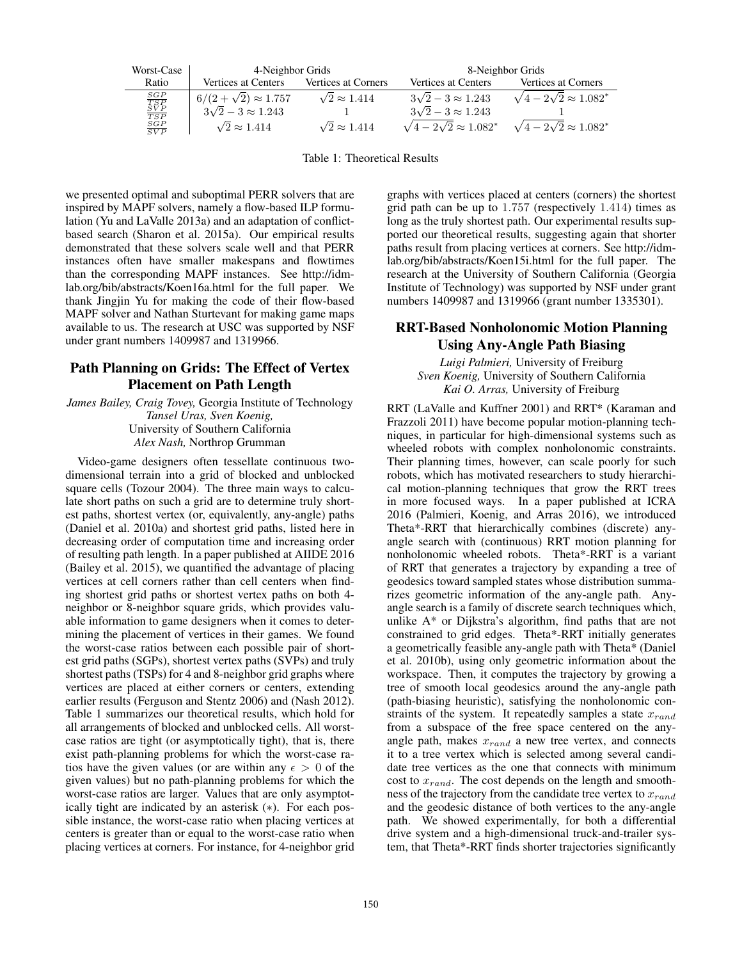| Worst-Case                                                                          | 4-Neighbor Grids               |                          | 8-Neighbor Grids                     |                                      |
|-------------------------------------------------------------------------------------|--------------------------------|--------------------------|--------------------------------------|--------------------------------------|
| Ratio                                                                               | Vertices at Centers            | Vertices at Corners      | Vertices at Centers                  | Vertices at Corners                  |
| $\begin{array}{c} {\cal S}GP \\ {\cal T}SP \\ {\cal SV}P \\ \hline TSP \end{array}$ | $6/(2+\sqrt{2}) \approx 1.757$ | $\sqrt{2} \approx 1.414$ | $3\sqrt{2}-3\approx 1.243$           | $\sqrt{4-2\sqrt{2}} \approx 1.082^*$ |
|                                                                                     | $3\sqrt{2}-3 \approx 1.243$    | $\mathbf{I}$             | $3\sqrt{2}-3\approx 1.243$           |                                      |
| $rac{SGP}{SVP}$                                                                     | $\sqrt{2} \approx 1.414$       | $\sqrt{2} \approx 1.414$ | $\sqrt{4-2\sqrt{2}} \approx 1.082^*$ | $\sqrt{4-2\sqrt{2}} \approx 1.082^*$ |

Table 1: Theoretical Results

we presented optimal and suboptimal PERR solvers that are inspired by MAPF solvers, namely a flow-based ILP formulation (Yu and LaValle 2013a) and an adaptation of conflictbased search (Sharon et al. 2015a). Our empirical results demonstrated that these solvers scale well and that PERR instances often have smaller makespans and flowtimes than the corresponding MAPF instances. See http://idmlab.org/bib/abstracts/Koen16a.html for the full paper. We thank Jingjin Yu for making the code of their flow-based MAPF solver and Nathan Sturtevant for making game maps available to us. The research at USC was supported by NSF under grant numbers 1409987 and 1319966.

#### Path Planning on Grids: The Effect of Vertex Placement on Path Length

*James Bailey, Craig Tovey,* Georgia Institute of Technology *Tansel Uras, Sven Koenig,* University of Southern California *Alex Nash,* Northrop Grumman

Video-game designers often tessellate continuous twodimensional terrain into a grid of blocked and unblocked square cells (Tozour 2004). The three main ways to calculate short paths on such a grid are to determine truly shortest paths, shortest vertex (or, equivalently, any-angle) paths (Daniel et al. 2010a) and shortest grid paths, listed here in decreasing order of computation time and increasing order of resulting path length. In a paper published at AIIDE 2016 (Bailey et al. 2015), we quantified the advantage of placing vertices at cell corners rather than cell centers when finding shortest grid paths or shortest vertex paths on both 4 neighbor or 8-neighbor square grids, which provides valuable information to game designers when it comes to determining the placement of vertices in their games. We found the worst-case ratios between each possible pair of shortest grid paths (SGPs), shortest vertex paths (SVPs) and truly shortest paths (TSPs) for 4 and 8-neighbor grid graphs where vertices are placed at either corners or centers, extending earlier results (Ferguson and Stentz 2006) and (Nash 2012). Table 1 summarizes our theoretical results, which hold for all arrangements of blocked and unblocked cells. All worstcase ratios are tight (or asymptotically tight), that is, there exist path-planning problems for which the worst-case ratios have the given values (or are within any  $\epsilon > 0$  of the given values) but no path-planning problems for which the worst-case ratios are larger. Values that are only asymptotically tight are indicated by an asterisk (∗). For each possible instance, the worst-case ratio when placing vertices at centers is greater than or equal to the worst-case ratio when placing vertices at corners. For instance, for 4-neighbor grid

graphs with vertices placed at centers (corners) the shortest grid path can be up to 1.757 (respectively 1.414) times as long as the truly shortest path. Our experimental results supported our theoretical results, suggesting again that shorter paths result from placing vertices at corners. See http://idmlab.org/bib/abstracts/Koen15i.html for the full paper. The research at the University of Southern California (Georgia Institute of Technology) was supported by NSF under grant numbers 1409987 and 1319966 (grant number 1335301).

### RRT-Based Nonholonomic Motion Planning Using Any-Angle Path Biasing

*Luigi Palmieri,* University of Freiburg *Sven Koenig,* University of Southern California *Kai O. Arras,* University of Freiburg

RRT (LaValle and Kuffner 2001) and RRT\* (Karaman and Frazzoli 2011) have become popular motion-planning techniques, in particular for high-dimensional systems such as wheeled robots with complex nonholonomic constraints. Their planning times, however, can scale poorly for such robots, which has motivated researchers to study hierarchical motion-planning techniques that grow the RRT trees in more focused ways. In a paper published at ICRA 2016 (Palmieri, Koenig, and Arras 2016), we introduced Theta\*-RRT that hierarchically combines (discrete) anyangle search with (continuous) RRT motion planning for nonholonomic wheeled robots. Theta\*-RRT is a variant of RRT that generates a trajectory by expanding a tree of geodesics toward sampled states whose distribution summarizes geometric information of the any-angle path. Anyangle search is a family of discrete search techniques which, unlike A\* or Dijkstra's algorithm, find paths that are not constrained to grid edges. Theta\*-RRT initially generates a geometrically feasible any-angle path with Theta\* (Daniel et al. 2010b), using only geometric information about the workspace. Then, it computes the trajectory by growing a tree of smooth local geodesics around the any-angle path (path-biasing heuristic), satisfying the nonholonomic constraints of the system. It repeatedly samples a state  $x_{rand}$ from a subspace of the free space centered on the anyangle path, makes  $x_{rand}$  a new tree vertex, and connects it to a tree vertex which is selected among several candidate tree vertices as the one that connects with minimum cost to  $x_{rand}$ . The cost depends on the length and smoothness of the trajectory from the candidate tree vertex to  $x_{rand}$ and the geodesic distance of both vertices to the any-angle path. We showed experimentally, for both a differential drive system and a high-dimensional truck-and-trailer system, that Theta\*-RRT finds shorter trajectories significantly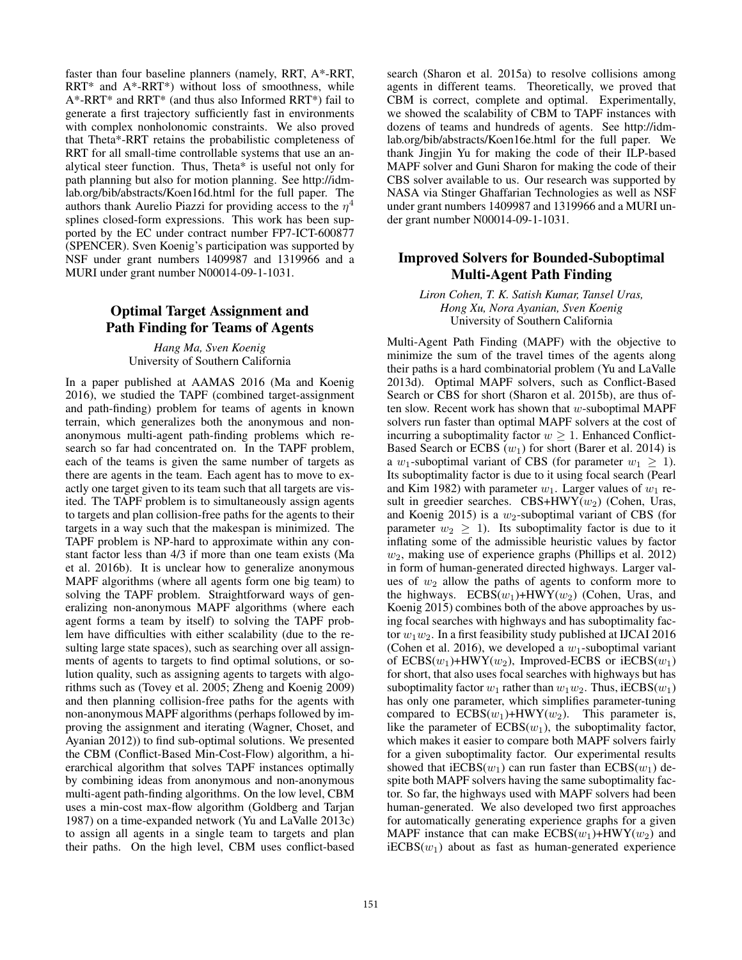faster than four baseline planners (namely, RRT, A\*-RRT, RRT\* and A\*-RRT\*) without loss of smoothness, while A\*-RRT\* and RRT\* (and thus also Informed RRT\*) fail to generate a first trajectory sufficiently fast in environments with complex nonholonomic constraints. We also proved that Theta\*-RRT retains the probabilistic completeness of RRT for all small-time controllable systems that use an analytical steer function. Thus, Theta\* is useful not only for path planning but also for motion planning. See http://idmlab.org/bib/abstracts/Koen16d.html for the full paper. The authors thank Aurelio Piazzi for providing access to the  $\eta^4$ splines closed-form expressions. This work has been supported by the EC under contract number FP7-ICT-600877 (SPENCER). Sven Koenig's participation was supported by NSF under grant numbers 1409987 and 1319966 and a MURI under grant number N00014-09-1-1031.

#### Optimal Target Assignment and Path Finding for Teams of Agents

*Hang Ma, Sven Koenig* University of Southern California

In a paper published at AAMAS 2016 (Ma and Koenig 2016), we studied the TAPF (combined target-assignment and path-finding) problem for teams of agents in known terrain, which generalizes both the anonymous and nonanonymous multi-agent path-finding problems which research so far had concentrated on. In the TAPF problem, each of the teams is given the same number of targets as there are agents in the team. Each agent has to move to exactly one target given to its team such that all targets are visited. The TAPF problem is to simultaneously assign agents to targets and plan collision-free paths for the agents to their targets in a way such that the makespan is minimized. The TAPF problem is NP-hard to approximate within any constant factor less than 4/3 if more than one team exists (Ma et al. 2016b). It is unclear how to generalize anonymous MAPF algorithms (where all agents form one big team) to solving the TAPF problem. Straightforward ways of generalizing non-anonymous MAPF algorithms (where each agent forms a team by itself) to solving the TAPF problem have difficulties with either scalability (due to the resulting large state spaces), such as searching over all assignments of agents to targets to find optimal solutions, or solution quality, such as assigning agents to targets with algorithms such as (Tovey et al. 2005; Zheng and Koenig 2009) and then planning collision-free paths for the agents with non-anonymous MAPF algorithms (perhaps followed by improving the assignment and iterating (Wagner, Choset, and Ayanian 2012)) to find sub-optimal solutions. We presented the CBM (Conflict-Based Min-Cost-Flow) algorithm, a hierarchical algorithm that solves TAPF instances optimally by combining ideas from anonymous and non-anonymous multi-agent path-finding algorithms. On the low level, CBM uses a min-cost max-flow algorithm (Goldberg and Tarjan 1987) on a time-expanded network (Yu and LaValle 2013c) to assign all agents in a single team to targets and plan their paths. On the high level, CBM uses conflict-based

search (Sharon et al. 2015a) to resolve collisions among agents in different teams. Theoretically, we proved that CBM is correct, complete and optimal. Experimentally, we showed the scalability of CBM to TAPF instances with dozens of teams and hundreds of agents. See http://idmlab.org/bib/abstracts/Koen16e.html for the full paper. We thank Jingjin Yu for making the code of their ILP-based MAPF solver and Guni Sharon for making the code of their CBS solver available to us. Our research was supported by NASA via Stinger Ghaffarian Technologies as well as NSF under grant numbers 1409987 and 1319966 and a MURI under grant number N00014-09-1-1031.

#### Improved Solvers for Bounded-Suboptimal Multi-Agent Path Finding

*Liron Cohen, T. K. Satish Kumar, Tansel Uras, Hong Xu, Nora Ayanian, Sven Koenig* University of Southern California

Multi-Agent Path Finding (MAPF) with the objective to minimize the sum of the travel times of the agents along their paths is a hard combinatorial problem (Yu and LaValle 2013d). Optimal MAPF solvers, such as Conflict-Based Search or CBS for short (Sharon et al. 2015b), are thus often slow. Recent work has shown that  $w$ -suboptimal MAPF solvers run faster than optimal MAPF solvers at the cost of incurring a suboptimality factor  $w > 1$ . Enhanced Conflict-Based Search or ECBS  $(w_1)$  for short (Barer et al. 2014) is a w<sub>1</sub>-suboptimal variant of CBS (for parameter  $w_1 \geq 1$ ). Its suboptimality factor is due to it using focal search (Pearl and Kim 1982) with parameter  $w_1$ . Larger values of  $w_1$  result in greedier searches.  $CBS+HWY(w_2)$  (Cohen, Uras, and Koenig 2015) is a  $w_2$ -suboptimal variant of CBS (for parameter  $w_2 > 1$ . Its suboptimality factor is due to it inflating some of the admissible heuristic values by factor  $w_2$ , making use of experience graphs (Phillips et al. 2012) in form of human-generated directed highways. Larger values of  $w_2$  allow the paths of agents to conform more to the highways.  $ECBS(w_1) + HWY(w_2)$  (Cohen, Uras, and Koenig 2015) combines both of the above approaches by using focal searches with highways and has suboptimality factor  $w_1w_2$ . In a first feasibility study published at IJCAI 2016 (Cohen et al. 2016), we developed a  $w_1$ -suboptimal variant of  $ECBS(w_1)$ +HWY( $w_2$ ), Improved-ECBS or iECBS( $w_1$ ) for short, that also uses focal searches with highways but has suboptimality factor  $w_1$  rather than  $w_1w_2$ . Thus, iECBS( $w_1$ ) has only one parameter, which simplifies parameter-tuning compared to  $ECBS(w_1) + HWY(w_2)$ . This parameter is, like the parameter of  $ECBS(w_1)$ , the suboptimality factor, which makes it easier to compare both MAPF solvers fairly for a given suboptimality factor. Our experimental results showed that  $iECBS(w_1)$  can run faster than  $ECBS(w_1)$  despite both MAPF solvers having the same suboptimality factor. So far, the highways used with MAPF solvers had been human-generated. We also developed two first approaches for automatically generating experience graphs for a given MAPF instance that can make  $ECBS(w_1)$ +HWY( $w_2$ ) and  $iECBS(w<sub>1</sub>)$  about as fast as human-generated experience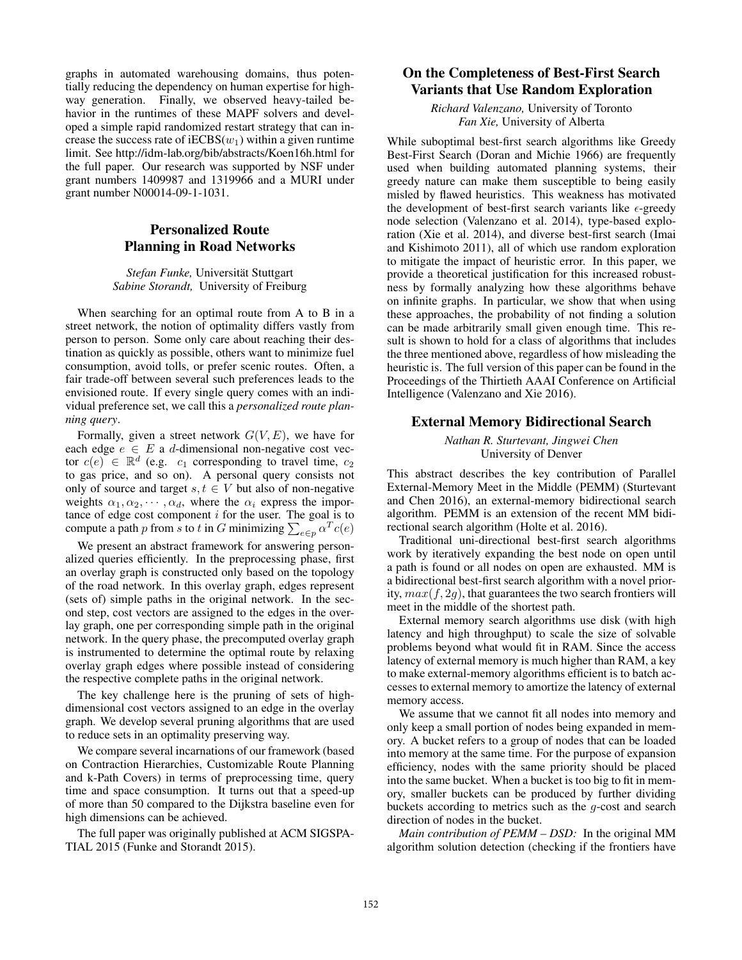graphs in automated warehousing domains, thus potentially reducing the dependency on human expertise for highway generation. Finally, we observed heavy-tailed behavior in the runtimes of these MAPF solvers and developed a simple rapid randomized restart strategy that can increase the success rate of  $iECBS(w_1)$  within a given runtime limit. See http://idm-lab.org/bib/abstracts/Koen16h.html for the full paper. Our research was supported by NSF under grant numbers 1409987 and 1319966 and a MURI under grant number N00014-09-1-1031.

#### Personalized Route Planning in Road Networks

#### *Stefan Funke,* Universitat Stuttgart ¨ *Sabine Storandt,* University of Freiburg

When searching for an optimal route from A to B in a street network, the notion of optimality differs vastly from person to person. Some only care about reaching their destination as quickly as possible, others want to minimize fuel consumption, avoid tolls, or prefer scenic routes. Often, a fair trade-off between several such preferences leads to the envisioned route. If every single query comes with an individual preference set, we call this a *personalized route planning query*.

Formally, given a street network  $G(V, E)$ , we have for each edge  $e \in E$  a d-dimensional non-negative cost vector  $c(e) \in \mathbb{R}^d$  (e.g.  $c_1$  corresponding to travel time,  $c_2$ ) to gas price, and so on). A personal query consists not only of source and target  $s, t \in V$  but also of non-negative weights  $\alpha_1, \alpha_2, \cdots, \alpha_d$ , where the  $\alpha_i$  express the importance of edge cost component  $i$  for the user. The goal is to compute a path p from s to t in G minimizing  $\sum_{e \in p} \alpha^T c(e)$ 

We present an abstract framework for answering personalized queries efficiently. In the preprocessing phase, first an overlay graph is constructed only based on the topology of the road network. In this overlay graph, edges represent (sets of) simple paths in the original network. In the second step, cost vectors are assigned to the edges in the overlay graph, one per corresponding simple path in the original network. In the query phase, the precomputed overlay graph is instrumented to determine the optimal route by relaxing overlay graph edges where possible instead of considering the respective complete paths in the original network.

The key challenge here is the pruning of sets of highdimensional cost vectors assigned to an edge in the overlay graph. We develop several pruning algorithms that are used to reduce sets in an optimality preserving way.

We compare several incarnations of our framework (based on Contraction Hierarchies, Customizable Route Planning and k-Path Covers) in terms of preprocessing time, query time and space consumption. It turns out that a speed-up of more than 50 compared to the Dijkstra baseline even for high dimensions can be achieved.

The full paper was originally published at ACM SIGSPA-TIAL 2015 (Funke and Storandt 2015).

# On the Completeness of Best-First Search Variants that Use Random Exploration

*Richard Valenzano,* University of Toronto *Fan Xie,* University of Alberta

While suboptimal best-first search algorithms like Greedy Best-First Search (Doran and Michie 1966) are frequently used when building automated planning systems, their greedy nature can make them susceptible to being easily misled by flawed heuristics. This weakness has motivated the development of best-first search variants like  $\epsilon$ -greedy node selection (Valenzano et al. 2014), type-based exploration (Xie et al. 2014), and diverse best-first search (Imai and Kishimoto 2011), all of which use random exploration to mitigate the impact of heuristic error. In this paper, we provide a theoretical justification for this increased robustness by formally analyzing how these algorithms behave on infinite graphs. In particular, we show that when using these approaches, the probability of not finding a solution can be made arbitrarily small given enough time. This result is shown to hold for a class of algorithms that includes the three mentioned above, regardless of how misleading the heuristic is. The full version of this paper can be found in the Proceedings of the Thirtieth AAAI Conference on Artificial Intelligence (Valenzano and Xie 2016).

#### External Memory Bidirectional Search

#### *Nathan R. Sturtevant, Jingwei Chen* University of Denver

This abstract describes the key contribution of Parallel External-Memory Meet in the Middle (PEMM) (Sturtevant and Chen 2016), an external-memory bidirectional search algorithm. PEMM is an extension of the recent MM bidirectional search algorithm (Holte et al. 2016).

Traditional uni-directional best-first search algorithms work by iteratively expanding the best node on open until a path is found or all nodes on open are exhausted. MM is a bidirectional best-first search algorithm with a novel priority,  $max(f, 2g)$ , that guarantees the two search frontiers will meet in the middle of the shortest path.

External memory search algorithms use disk (with high latency and high throughput) to scale the size of solvable problems beyond what would fit in RAM. Since the access latency of external memory is much higher than RAM, a key to make external-memory algorithms efficient is to batch accesses to external memory to amortize the latency of external memory access.

We assume that we cannot fit all nodes into memory and only keep a small portion of nodes being expanded in memory. A bucket refers to a group of nodes that can be loaded into memory at the same time. For the purpose of expansion efficiency, nodes with the same priority should be placed into the same bucket. When a bucket is too big to fit in memory, smaller buckets can be produced by further dividing buckets according to metrics such as the g-cost and search direction of nodes in the bucket.

*Main contribution of PEMM – DSD:* In the original MM algorithm solution detection (checking if the frontiers have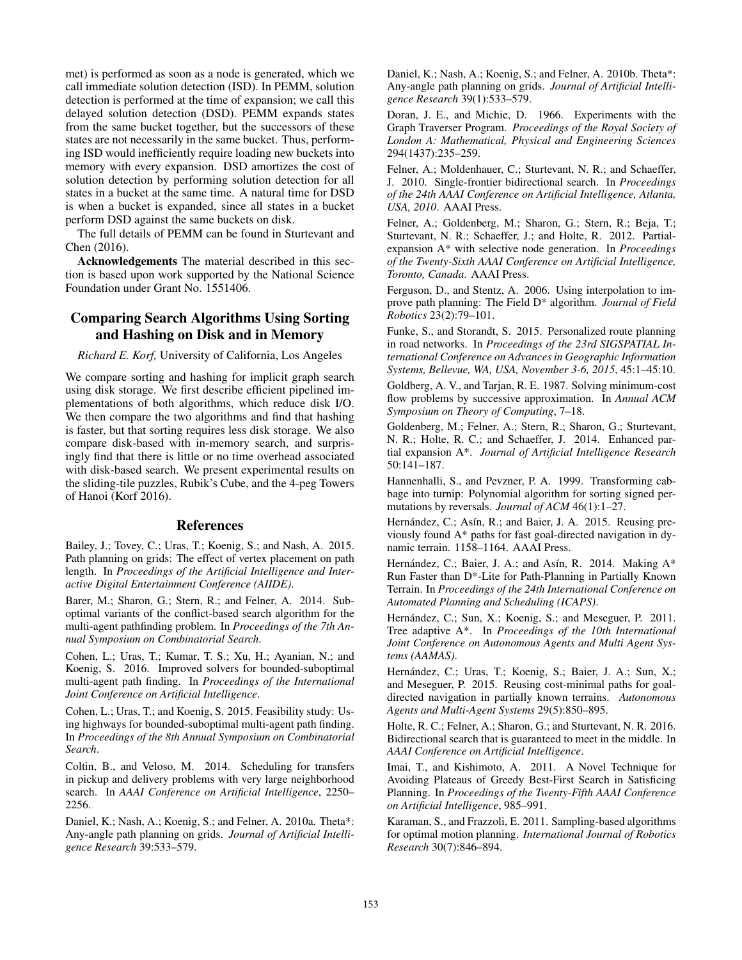met) is performed as soon as a node is generated, which we call immediate solution detection (ISD). In PEMM, solution detection is performed at the time of expansion; we call this delayed solution detection (DSD). PEMM expands states from the same bucket together, but the successors of these states are not necessarily in the same bucket. Thus, performing ISD would inefficiently require loading new buckets into memory with every expansion. DSD amortizes the cost of solution detection by performing solution detection for all states in a bucket at the same time. A natural time for DSD is when a bucket is expanded, since all states in a bucket perform DSD against the same buckets on disk.

The full details of PEMM can be found in Sturtevant and Chen (2016).

Acknowledgements The material described in this section is based upon work supported by the National Science Foundation under Grant No. 1551406.

#### Comparing Search Algorithms Using Sorting and Hashing on Disk and in Memory

*Richard E. Korf,* University of California, Los Angeles

We compare sorting and hashing for implicit graph search using disk storage. We first describe efficient pipelined implementations of both algorithms, which reduce disk I/O. We then compare the two algorithms and find that hashing is faster, but that sorting requires less disk storage. We also compare disk-based with in-memory search, and surprisingly find that there is little or no time overhead associated with disk-based search. We present experimental results on the sliding-tile puzzles, Rubik's Cube, and the 4-peg Towers of Hanoi (Korf 2016).

#### References

Bailey, J.; Tovey, C.; Uras, T.; Koenig, S.; and Nash, A. 2015. Path planning on grids: The effect of vertex placement on path length. In *Proceedings of the Artificial Intelligence and Interactive Digital Entertainment Conference (AIIDE)*.

Barer, M.; Sharon, G.; Stern, R.; and Felner, A. 2014. Suboptimal variants of the conflict-based search algorithm for the multi-agent pathfinding problem. In *Proceedings of the 7th Annual Symposium on Combinatorial Search*.

Cohen, L.; Uras, T.; Kumar, T. S.; Xu, H.; Ayanian, N.; and Koenig, S. 2016. Improved solvers for bounded-suboptimal multi-agent path finding. In *Proceedings of the International Joint Conference on Artificial Intelligence*.

Cohen, L.; Uras, T.; and Koenig, S. 2015. Feasibility study: Using highways for bounded-suboptimal multi-agent path finding. In *Proceedings of the 8th Annual Symposium on Combinatorial Search*.

Coltin, B., and Veloso, M. 2014. Scheduling for transfers in pickup and delivery problems with very large neighborhood search. In *AAAI Conference on Artificial Intelligence*, 2250– 2256.

Daniel, K.; Nash, A.; Koenig, S.; and Felner, A. 2010a. Theta\*: Any-angle path planning on grids. *Journal of Artificial Intelligence Research* 39:533–579.

Daniel, K.; Nash, A.; Koenig, S.; and Felner, A. 2010b. Theta\*: Any-angle path planning on grids. *Journal of Artificial Intelligence Research* 39(1):533–579.

Doran, J. E., and Michie, D. 1966. Experiments with the Graph Traverser Program. *Proceedings of the Royal Society of London A: Mathematical, Physical and Engineering Sciences* 294(1437):235–259.

Felner, A.; Moldenhauer, C.; Sturtevant, N. R.; and Schaeffer, J. 2010. Single-frontier bidirectional search. In *Proceedings of the 24th AAAI Conference on Artificial Intelligence, Atlanta, USA, 2010*. AAAI Press.

Felner, A.; Goldenberg, M.; Sharon, G.; Stern, R.; Beja, T.; Sturtevant, N. R.; Schaeffer, J.; and Holte, R. 2012. Partialexpansion A\* with selective node generation. In *Proceedings of the Twenty-Sixth AAAI Conference on Artificial Intelligence, Toronto, Canada*. AAAI Press.

Ferguson, D., and Stentz, A. 2006. Using interpolation to improve path planning: The Field D\* algorithm. *Journal of Field Robotics* 23(2):79–101.

Funke, S., and Storandt, S. 2015. Personalized route planning in road networks. In *Proceedings of the 23rd SIGSPATIAL International Conference on Advances in Geographic Information Systems, Bellevue, WA, USA, November 3-6, 2015*, 45:1–45:10.

Goldberg, A. V., and Tarjan, R. E. 1987. Solving minimum-cost flow problems by successive approximation. In *Annual ACM Symposium on Theory of Computing*, 7–18.

Goldenberg, M.; Felner, A.; Stern, R.; Sharon, G.; Sturtevant, N. R.; Holte, R. C.; and Schaeffer, J. 2014. Enhanced partial expansion A\*. *Journal of Artificial Intelligence Research* 50:141–187.

Hannenhalli, S., and Pevzner, P. A. 1999. Transforming cabbage into turnip: Polynomial algorithm for sorting signed permutations by reversals. *Journal of ACM* 46(1):1–27.

Hernández, C.; Asín, R.; and Baier, J. A. 2015. Reusing previously found A\* paths for fast goal-directed navigation in dynamic terrain. 1158–1164. AAAI Press.

Hernández, C.; Baier, J. A.; and Asín, R. 2014. Making  $A^*$ Run Faster than D\*-Lite for Path-Planning in Partially Known Terrain. In *Proceedings of the 24th International Conference on Automated Planning and Scheduling (ICAPS)*.

Hernández, C.; Sun, X.; Koenig, S.; and Meseguer, P. 2011. Tree adaptive A\*. In *Proceedings of the 10th International Joint Conference on Autonomous Agents and Multi Agent Systems (AAMAS)*.

Hernández, C.; Uras, T.; Koenig, S.; Baier, J. A.; Sun, X.; and Meseguer, P. 2015. Reusing cost-minimal paths for goaldirected navigation in partially known terrains. *Autonomous Agents and Multi-Agent Systems* 29(5):850–895.

Holte, R. C.; Felner, A.; Sharon, G.; and Sturtevant, N. R. 2016. Bidirectional search that is guaranteed to meet in the middle. In *AAAI Conference on Artificial Intelligence*.

Imai, T., and Kishimoto, A. 2011. A Novel Technique for Avoiding Plateaus of Greedy Best-First Search in Satisficing Planning. In *Proceedings of the Twenty-Fifth AAAI Conference on Artificial Intelligence*, 985–991.

Karaman, S., and Frazzoli, E. 2011. Sampling-based algorithms for optimal motion planning. *International Journal of Robotics Research* 30(7):846–894.